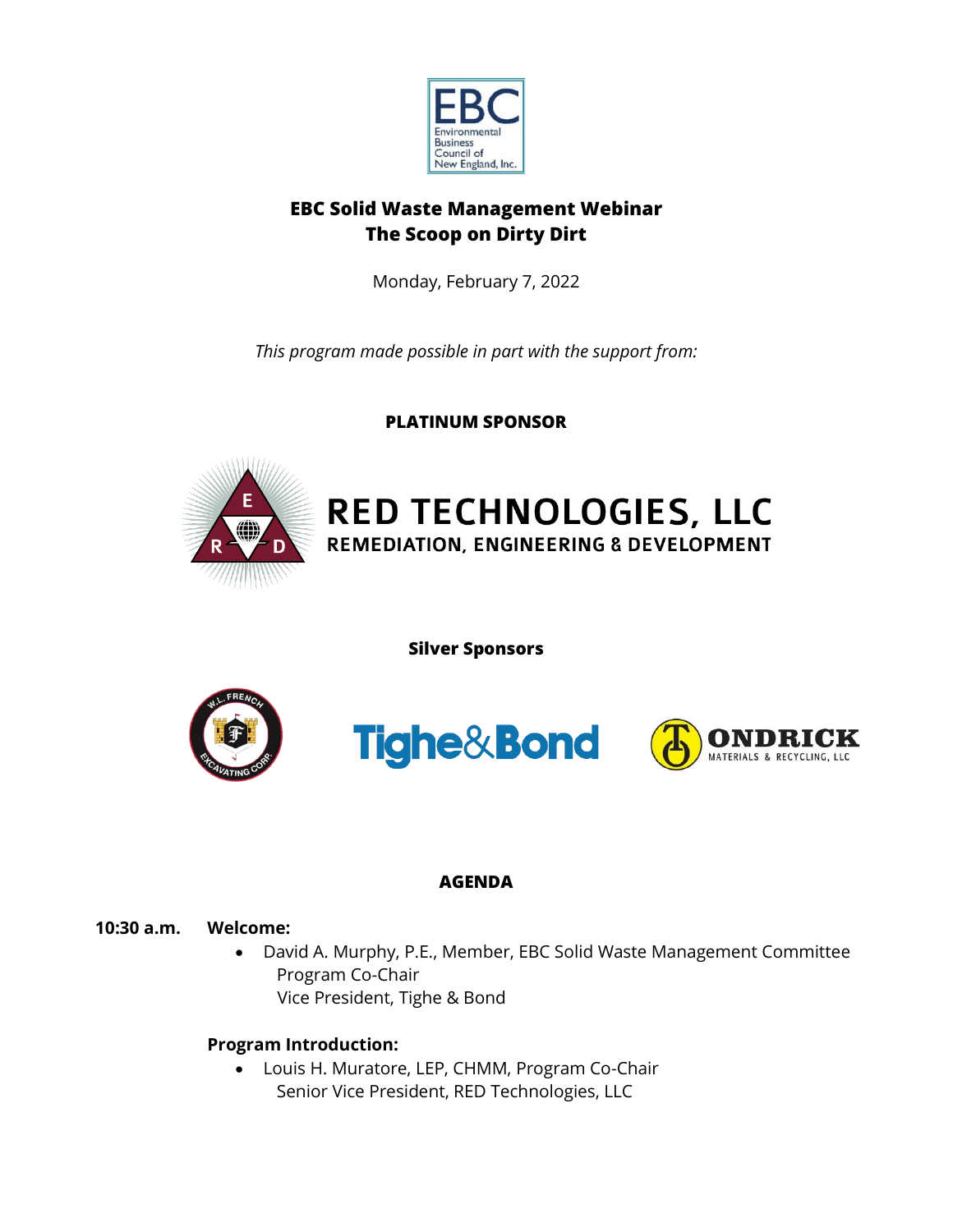

# **EBC Solid Waste Management Webinar The Scoop on Dirty Dirt**

Monday, February 7, 2022

*This program made possible in part with the support from:*

**PLATINUM SPONSOR**



**Silver Sponsors**



# **AGENDA**

# **10:30 a.m. Welcome:**

• David A. Murphy, P.E., Member, EBC Solid Waste Management Committee Program Co-Chair Vice President, Tighe & Bond

# **Program Introduction:**

• Louis H. Muratore, LEP, CHMM, Program Co-Chair Senior Vice President, RED Technologies, LLC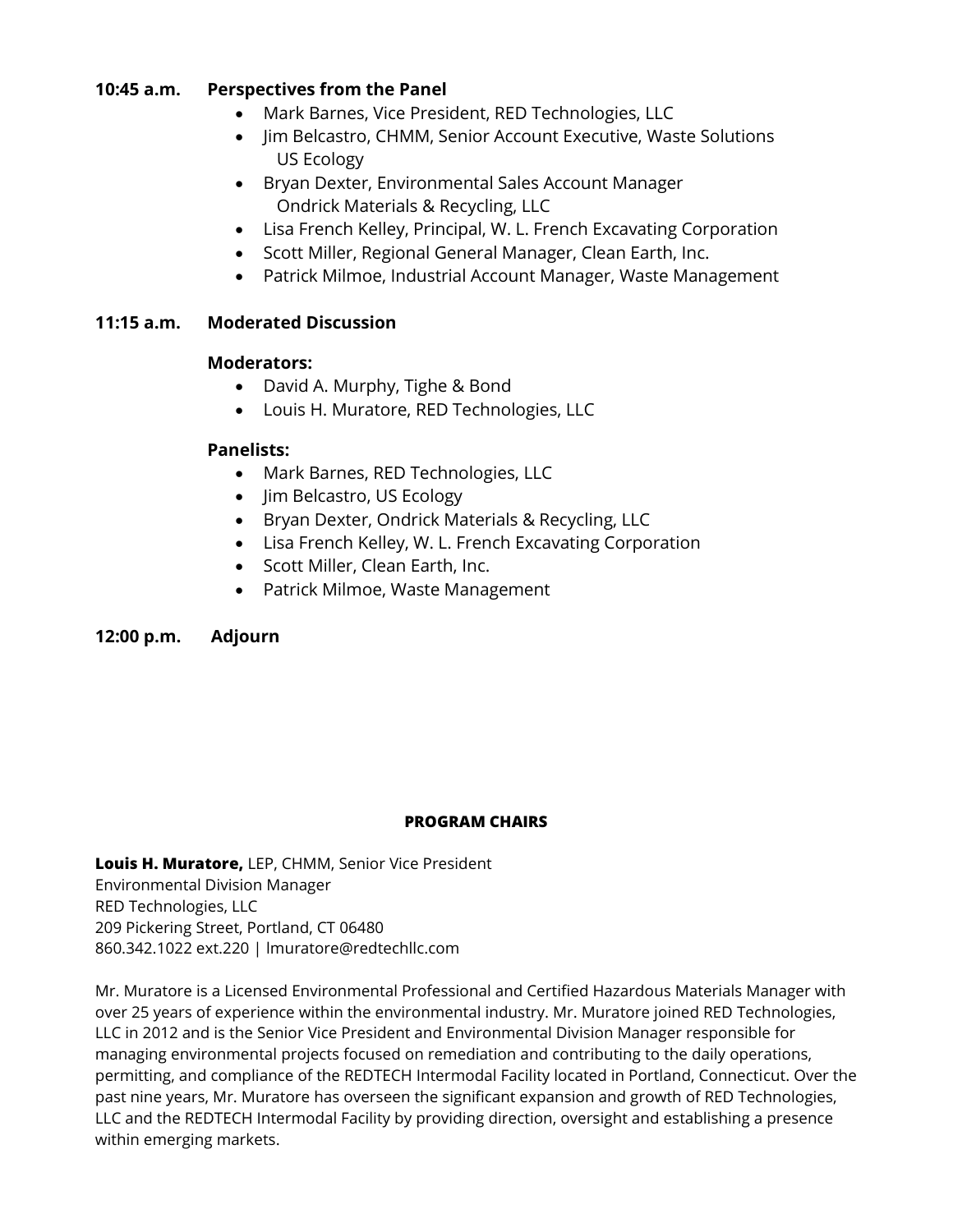### **10:45 a.m. Perspectives from the Panel**

- Mark Barnes, Vice President, RED Technologies, LLC
- Jim Belcastro, CHMM, Senior Account Executive, Waste Solutions US Ecology
- Bryan Dexter, Environmental Sales Account Manager Ondrick Materials & Recycling, LLC
- Lisa French Kelley, Principal, W. L. French Excavating Corporation
- Scott Miller, Regional General Manager, Clean Earth, Inc.
- Patrick Milmoe, Industrial Account Manager, Waste Management

## **11:15 a.m. Moderated Discussion**

### **Moderators:**

- David A. Murphy, Tighe & Bond
- Louis H. Muratore, RED Technologies, LLC

## **Panelists:**

- Mark Barnes, RED Technologies, LLC
- Jim Belcastro, US Ecology
- Bryan Dexter, Ondrick Materials & Recycling, LLC
- Lisa French Kelley, W. L. French Excavating Corporation
- Scott Miller, Clean Earth, Inc.
- Patrick Milmoe, Waste Management

## **12:00 p.m. Adjourn**

#### **PROGRAM CHAIRS**

**Louis H. Muratore,** LEP, CHMM, Senior Vice President Environmental Division Manager RED Technologies, LLC 209 Pickering Street, Portland, CT 06480 860.342.1022 ext.220 | lmuratore@redtechllc.com

Mr. Muratore is a Licensed Environmental Professional and Certified Hazardous Materials Manager with over 25 years of experience within the environmental industry. Mr. Muratore joined RED Technologies, LLC in 2012 and is the Senior Vice President and Environmental Division Manager responsible for managing environmental projects focused on remediation and contributing to the daily operations, permitting, and compliance of the REDTECH Intermodal Facility located in Portland, Connecticut. Over the past nine years, Mr. Muratore has overseen the significant expansion and growth of RED Technologies, LLC and the REDTECH Intermodal Facility by providing direction, oversight and establishing a presence within emerging markets.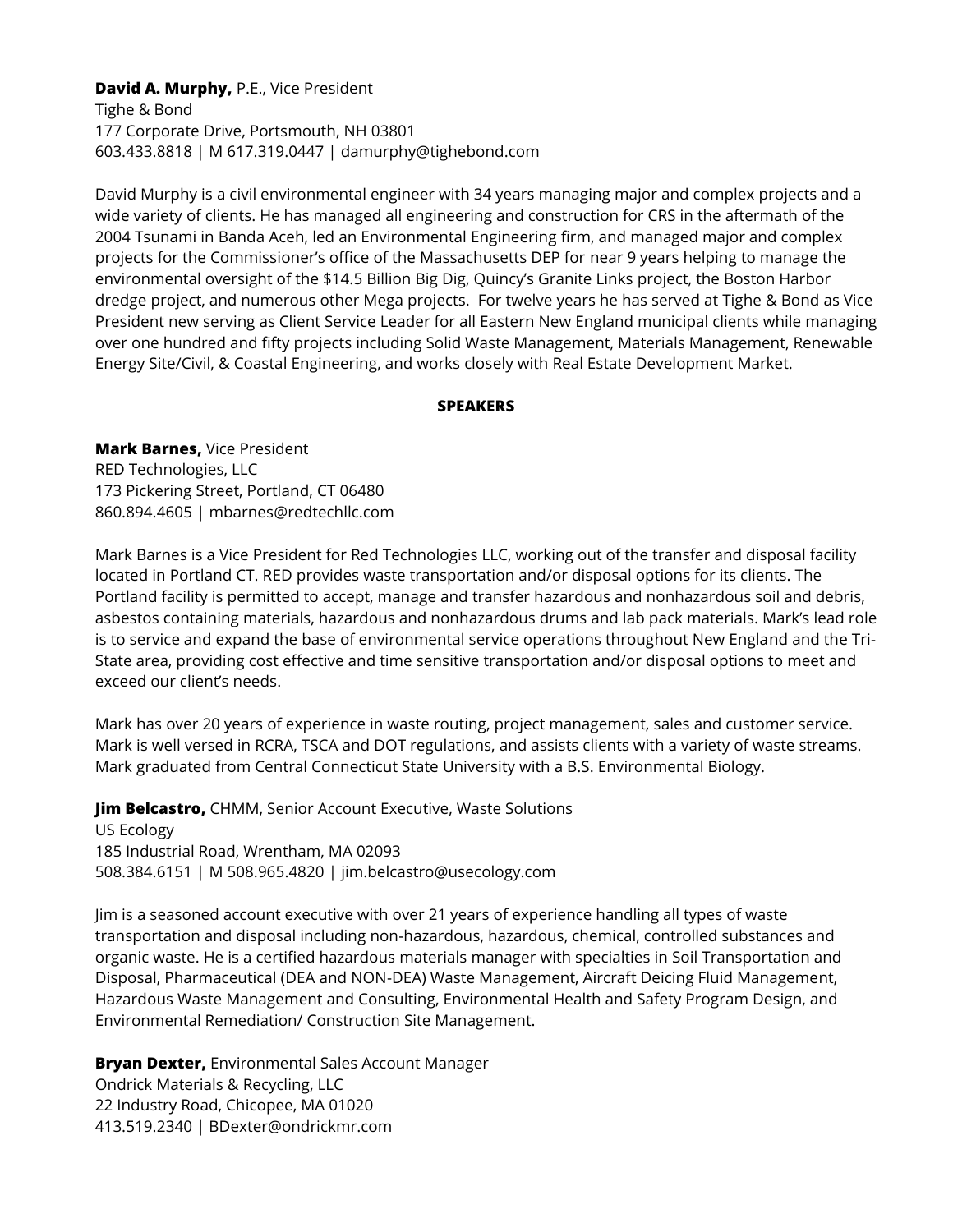#### **David A. Murphy,** P.E., Vice President

Tighe & Bond 177 Corporate Drive, Portsmouth, NH 03801 603.433.8818 | M 617.319.0447 | damurphy@tighebond.com

David Murphy is a civil environmental engineer with 34 years managing major and complex projects and a wide variety of clients. He has managed all engineering and construction for CRS in the aftermath of the 2004 Tsunami in Banda Aceh, led an Environmental Engineering firm, and managed major and complex projects for the Commissioner's office of the Massachusetts DEP for near 9 years helping to manage the environmental oversight of the \$14.5 Billion Big Dig, Quincy's Granite Links project, the Boston Harbor dredge project, and numerous other Mega projects. For twelve years he has served at Tighe & Bond as Vice President new serving as Client Service Leader for all Eastern New England municipal clients while managing over one hundred and fifty projects including Solid Waste Management, Materials Management, Renewable Energy Site/Civil, & Coastal Engineering, and works closely with Real Estate Development Market.

#### **SPEAKERS**

**Mark Barnes,** Vice President RED Technologies, LLC 173 Pickering Street, Portland, CT 06480 860.894.4605 | mbarnes@redtechllc.com

Mark Barnes is a Vice President for Red Technologies LLC, working out of the transfer and disposal facility located in Portland CT. RED provides waste transportation and/or disposal options for its clients. The Portland facility is permitted to accept, manage and transfer hazardous and nonhazardous soil and debris, asbestos containing materials, hazardous and nonhazardous drums and lab pack materials. Mark's lead role is to service and expand the base of environmental service operations throughout New England and the Tri-State area, providing cost effective and time sensitive transportation and/or disposal options to meet and exceed our client's needs.

Mark has over 20 years of experience in waste routing, project management, sales and customer service. Mark is well versed in RCRA, TSCA and DOT regulations, and assists clients with a variety of waste streams. Mark graduated from Central Connecticut State University with a B.S. Environmental Biology.

**Jim Belcastro,** CHMM, Senior Account Executive, Waste Solutions US Ecology 185 Industrial Road, Wrentham, MA 02093 508.384.6151 | M 508.965.4820 | jim.belcastro@usecology.com

Jim is a seasoned account executive with over 21 years of experience handling all types of waste transportation and disposal including non-hazardous, hazardous, chemical, controlled substances and organic waste. He is a certified hazardous materials manager with specialties in Soil Transportation and Disposal, Pharmaceutical (DEA and NON-DEA) Waste Management, Aircraft Deicing Fluid Management, Hazardous Waste Management and Consulting, Environmental Health and Safety Program Design, and Environmental Remediation/ Construction Site Management.

**Bryan Dexter,** Environmental Sales Account Manager

Ondrick Materials & Recycling, LLC 22 Industry Road, Chicopee, MA 01020 413.519.2340 | BDexter@ondrickmr.com